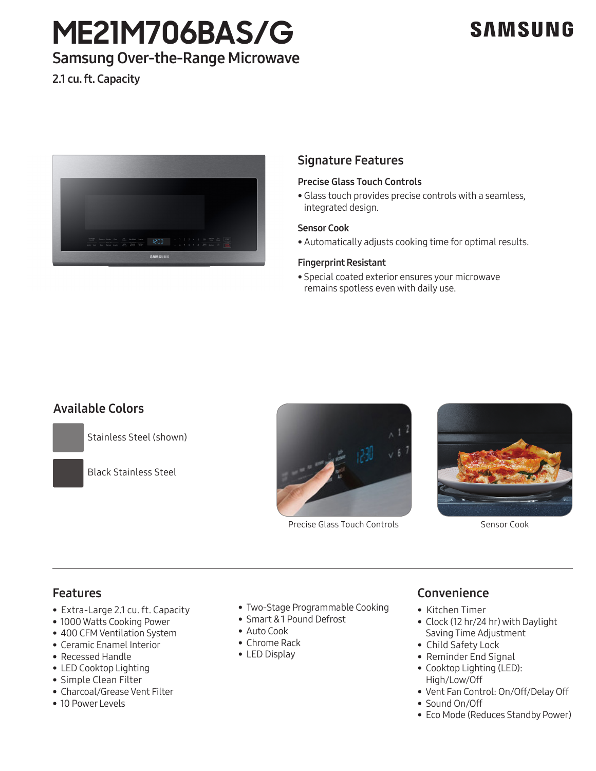# **ME21M706BAS/G**

## **SAMSUNG**

## Samsung Over-the-Range Microwave

2.1 cu. ft. Capacity



## Signature Features

### Precise Glass Touch Controls

• Glass touch provides precise controls with a seamless, integrated design.

#### Sensor Cook

• Automatically adjusts cooking time for optimal results.

### Fingerprint Resistant

• Special coated exterior ensures your microwave remains spotless even with daily use.

## Available Colors

Stainless Steel (shown)

Black Stainless Steel



Precise Glass Touch Controls Sensor Cook



## Features

- Extra-Large 2.1 cu. ft. Capacity
- 1000 Watts Cooking Power
- 400 CFM Ventilation System
- Ceramic Enamel Interior
- Recessed Handle
- LED Cooktop Lighting
- Simple Clean Filter
- Charcoal/Grease Vent Filter
- 10 Power Levels
- Two-Stage Programmable Cooking
- Smart & 1 Pound Defrost
- Auto Cook
- Chrome Rack
- LED Display

## Convenience

- Kitchen Timer
- Clock (12 hr/24 hr) with Daylight Saving Time Adjustment
- Child Safety Lock
- Reminder End Signal
- Cooktop Lighting (LED): High/Low/Off
- Vent Fan Control: On/Off/Delay Off
- Sound On/Off
- Eco Mode (Reduces Standby Power)